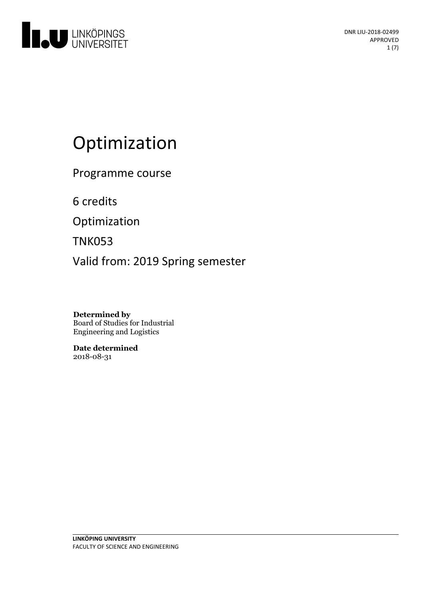

# Optimization

Programme course

6 credits

Optimization

TNK053

Valid from: 2019 Spring semester

**Determined by** Board of Studies for Industrial Engineering and Logistics

**Date determined** 2018-08-31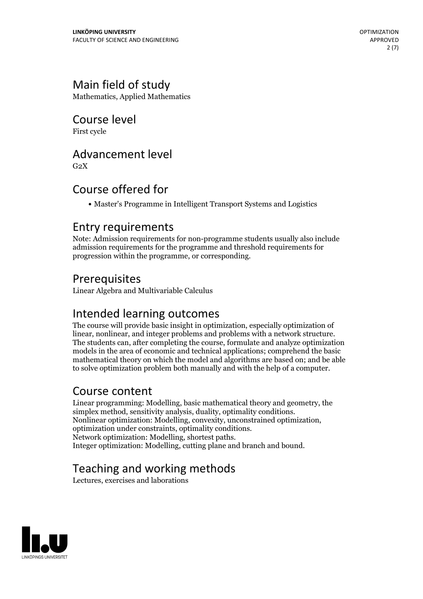# Main field of study

Mathematics, Applied Mathematics

# Course level

First cycle

### Advancement level

 $G<sub>2</sub>X$ 

# Course offered for

Master's Programme in Intelligent Transport Systems and Logistics

### Entry requirements

Note: Admission requirements for non-programme students usually also include admission requirements for the programme and threshold requirements for progression within the programme, or corresponding.

### Prerequisites

Linear Algebra and Multivariable Calculus

### Intended learning outcomes

The course will provide basic insight in optimization, especially optimization of linear, nonlinear, and integer problems and problems with a network structure. The students can, after completing the course, formulate and analyze optimization models in the area of economic and technical applications; comprehend the basic mathematical theory on which the model and algorithms are based on; and be able to solve optimization problem both manually and with the help of a computer.

### Course content

Linear programming: Modelling, basic mathematical theory and geometry, the simplex method, sensitivity analysis, duality, optimality conditions.<br>Nonlinear optimization: Modelling, convexity, unconstrained optimization,<br>optimization under constraints, optimality conditions.<br>Network optimization: M

# Teaching and working methods

Lectures, exercises and laborations

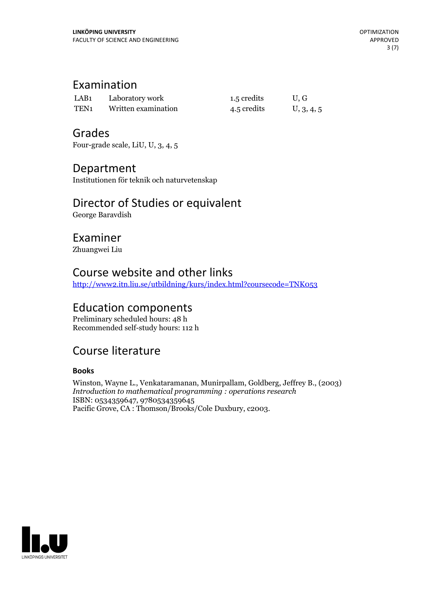# Examination

| LAB <sub>1</sub> | Laboratory work     | 1.5 credits | U.G        |
|------------------|---------------------|-------------|------------|
| TEN <sub>1</sub> | Written examination | 4.5 credits | U, 3, 4, 5 |

### Grades

Four-grade scale, LiU, U, 3, 4, 5

### Department

Institutionen för teknik och naturvetenskap

# Director of Studies or equivalent

George Baravdish

# Examiner

Zhuangwei Liu

### Course website and other links

<http://www2.itn.liu.se/utbildning/kurs/index.html?coursecode=TNK053>

### Education components

Preliminary scheduled hours: 48 h Recommended self-study hours: 112 h

# Course literature

### **Books**

Winston, Wayne L., Venkataramanan, Munirpallam, Goldberg, Jeffrey B., (2003) *Introduction to mathematical programming : operations research* ISBN: 0534359647, 9780534359645 Pacific Grove, CA : Thomson/Brooks/Cole Duxbury, c2003.

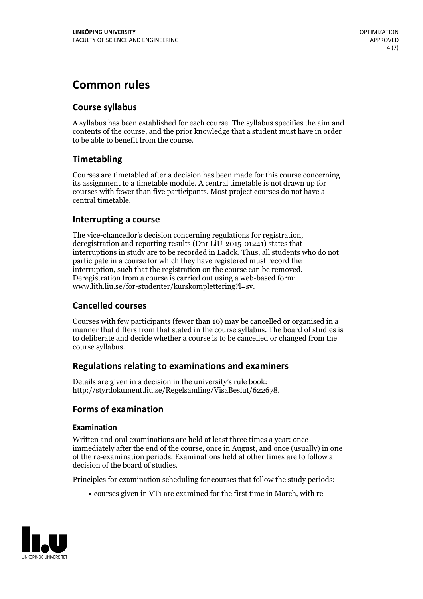# **Common rules**

### **Course syllabus**

A syllabus has been established for each course. The syllabus specifies the aim and contents of the course, and the prior knowledge that a student must have in order to be able to benefit from the course.

### **Timetabling**

Courses are timetabled after a decision has been made for this course concerning its assignment to a timetable module. A central timetable is not drawn up for courses with fewer than five participants. Most project courses do not have a central timetable.

### **Interrupting a course**

The vice-chancellor's decision concerning regulations for registration, deregistration and reporting results (Dnr LiU-2015-01241) states that interruptions in study are to be recorded in Ladok. Thus, all students who do not participate in a course for which they have registered must record the interruption, such that the registration on the course can be removed. Deregistration from <sup>a</sup> course is carried outusing <sup>a</sup> web-based form: www.lith.liu.se/for-studenter/kurskomplettering?l=sv.

### **Cancelled courses**

Courses with few participants (fewer than 10) may be cancelled or organised in a manner that differs from that stated in the course syllabus. The board of studies is to deliberate and decide whether a course is to be cancelled orchanged from the course syllabus.

### **Regulations relatingto examinations and examiners**

Details are given in a decision in the university's rule book: http://styrdokument.liu.se/Regelsamling/VisaBeslut/622678.

### **Forms of examination**

#### **Examination**

Written and oral examinations are held at least three times a year: once immediately after the end of the course, once in August, and once (usually) in one of the re-examination periods. Examinations held at other times are to follow a decision of the board of studies.

Principles for examination scheduling for courses that follow the study periods:

courses given in VT1 are examined for the first time in March, with re-

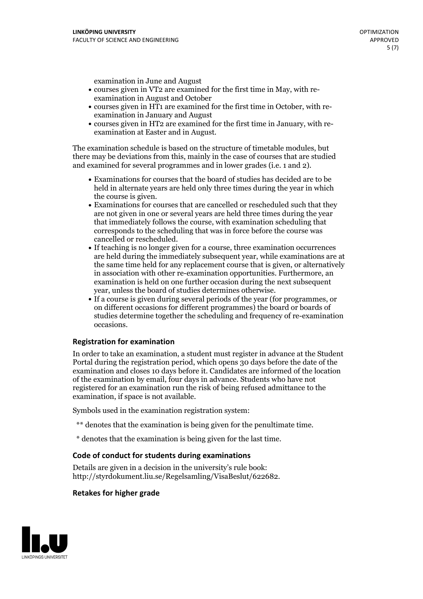examination in June and August

- courses given in VT2 are examined for the first time in May, with re-examination in August and October
- courses given in HT1 are examined for the first time in October, with re-examination in January and August
- courses given in HT2 are examined for the first time in January, with re-examination at Easter and in August.

The examination schedule is based on the structure of timetable modules, but there may be deviations from this, mainly in the case of courses that are studied and examined for several programmes and in lower grades (i.e. 1 and 2).

- Examinations for courses that the board of studies has decided are to be held in alternate years are held only three times during the year in which
- the course is given.<br>• Examinations for courses that are cancelled or rescheduled such that they are not given in one or several years are held three times during the year that immediately follows the course, with examination scheduling that corresponds to the scheduling that was in force before the course was cancelled or rescheduled.<br>• If teaching is no longer given for a course, three examination occurrences
- are held during the immediately subsequent year, while examinations are at the same time held for any replacement course that is given, or alternatively in association with other re-examination opportunities. Furthermore, an examination is held on one further occasion during the next subsequent year, unless the board of studies determines otherwise.<br>• If a course is given during several periods of the year (for programmes, or
- on different occasions for different programmes) the board orboards of studies determine together the scheduling and frequency of re-examination occasions.

#### **Registration for examination**

In order to take an examination, a student must register in advance at the Student Portal during the registration period, which opens 30 days before the date of the examination and closes 10 days before it. Candidates are informed of the location of the examination by email, four days in advance. Students who have not registered for an examination run the risk of being refused admittance to the examination, if space is not available.

Symbols used in the examination registration system:

- \*\* denotes that the examination is being given for the penultimate time.
- \* denotes that the examination is being given for the last time.

#### **Code of conduct for students during examinations**

Details are given in a decision in the university's rule book: http://styrdokument.liu.se/Regelsamling/VisaBeslut/622682.

#### **Retakes for higher grade**

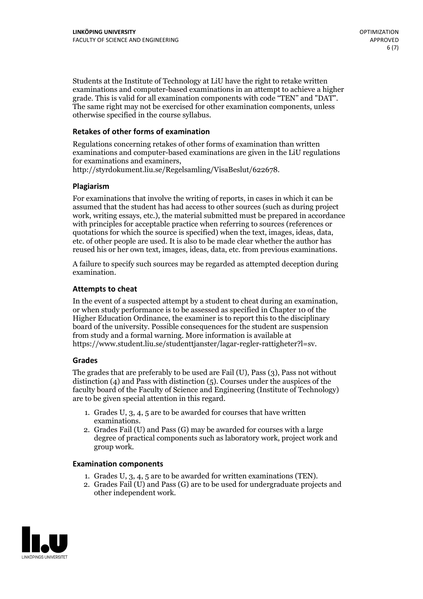Students at the Institute of Technology at LiU have the right to retake written examinations and computer-based examinations in an attempt to achieve a higher grade. This is valid for all examination components with code "TEN" and "DAT". The same right may not be exercised for other examination components, unless otherwise specified in the course syllabus.

#### **Retakes of other forms of examination**

Regulations concerning retakes of other forms of examination than written examinations and computer-based examinations are given in the LiU regulations for examinations and examiners, http://styrdokument.liu.se/Regelsamling/VisaBeslut/622678.

#### **Plagiarism**

For examinations that involve the writing of reports, in cases in which it can be assumed that the student has had access to other sources (such as during project work, writing essays, etc.), the material submitted must be prepared in accordance with principles for acceptable practice when referring to sources (references or quotations for which the source is specified) when the text, images, ideas, data, etc. of other people are used. It is also to be made clear whether the author has reused his or her own text, images, ideas, data, etc. from previous examinations.

A failure to specify such sources may be regarded as attempted deception during examination.

#### **Attempts to cheat**

In the event of <sup>a</sup> suspected attempt by <sup>a</sup> student to cheat during an examination, or when study performance is to be assessed as specified in Chapter <sup>10</sup> of the Higher Education Ordinance, the examiner is to report this to the disciplinary board of the university. Possible consequences for the student are suspension from study and a formal warning. More information is available at https://www.student.liu.se/studenttjanster/lagar-regler-rattigheter?l=sv.

#### **Grades**

The grades that are preferably to be used are Fail (U), Pass (3), Pass not without distinction  $(4)$  and Pass with distinction  $(5)$ . Courses under the auspices of the faculty board of the Faculty of Science and Engineering (Institute of Technology) are to be given special attention in this regard.

- 1. Grades U, 3, 4, 5 are to be awarded for courses that have written
- examinations. 2. Grades Fail (U) and Pass (G) may be awarded for courses with <sup>a</sup> large degree of practical components such as laboratory work, project work and group work.

#### **Examination components**

- 
- 1. Grades U, 3, 4, <sup>5</sup> are to be awarded for written examinations (TEN). 2. Grades Fail (U) and Pass (G) are to be used for undergraduate projects and other independent work.